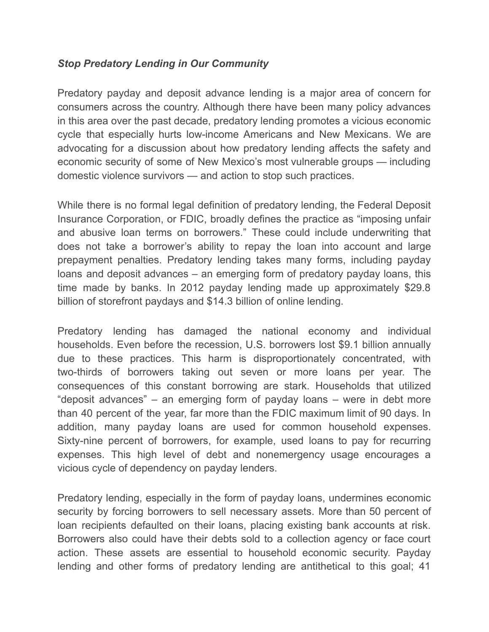## *Stop Predatory Lending in Our Community*

Predatory payday and deposit advance lending is a major area of concern for consumers across the country. Although there have been many policy advances in this area over the past decade, predatory lending promotes a vicious economic cycle that especially hurts low-income Americans and New Mexicans. We are advocating for a discussion about how predatory lending affects the safety and economic security of some of New Mexico's most vulnerable groups — including domestic violence survivors — and action to stop such practices.

While there is no formal legal definition of predatory lending, the Federal Deposit Insurance Corporation, or FDIC, broadly defines the practice as "imposing unfair and abusive loan terms on borrowers." These could include underwriting that does not take a borrower's ability to repay the loan into account and large prepayment penalties. Predatory lending takes many forms, including payday loans and deposit advances – an emerging form of predatory payday loans, this time made by banks. In 2012 payday lending made up approximately \$29.8 billion of storefront paydays and \$14.3 billion of online lending.

Predatory lending has damaged the national economy and individual households. Even before the recession, U.S. borrowers lost \$9.1 billion annually due to these practices. This harm is disproportionately concentrated, with two-thirds of borrowers taking out seven or more loans per year. The consequences of this constant borrowing are stark. Households that utilized "deposit advances" – an emerging form of payday loans – were in debt more than 40 percent of the year, far more than the FDIC maximum limit of 90 days. In addition, many payday loans are used for common household expenses. Sixty-nine percent of borrowers, for example, used loans to pay for recurring expenses. This high level of debt and nonemergency usage encourages a vicious cycle of dependency on payday lenders.

Predatory lending, especially in the form of payday loans, undermines economic security by forcing borrowers to sell necessary assets. More than 50 percent of loan recipients defaulted on their loans, placing existing bank accounts at risk. Borrowers also could have their debts sold to a collection agency or face court action. These assets are essential to household economic security. Payday lending and other forms of predatory lending are antithetical to this goal; 41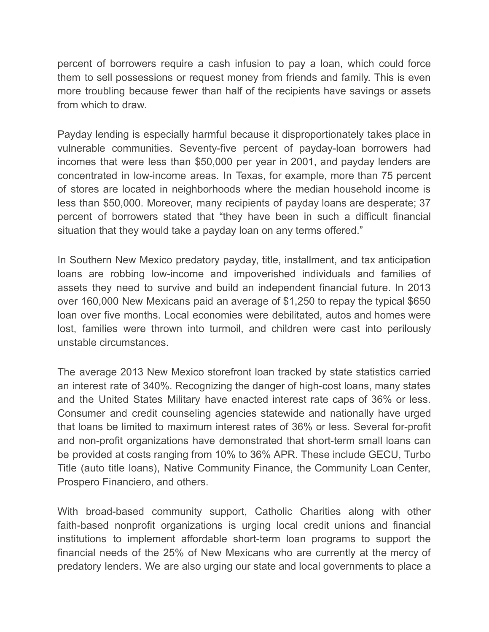percent of borrowers require a cash infusion to pay a loan, which could force them to sell possessions or request money from friends and family. This is even more troubling because fewer than half of the recipients have savings or assets from which to draw.

Payday lending is especially harmful because it disproportionately takes place in vulnerable communities. Seventy-five percent of payday-loan borrowers had incomes that were less than \$50,000 per year in 2001, and payday lenders are concentrated in low-income areas. In Texas, for example, more than 75 percent of stores are located in neighborhoods where the median household income is less than \$50,000. Moreover, many recipients of payday loans are desperate; 37 percent of borrowers stated that "they have been in such a difficult financial situation that they would take a payday loan on any terms offered."

In Southern New Mexico predatory payday, title, installment, and tax anticipation loans are robbing low-income and impoverished individuals and families of assets they need to survive and build an independent financial future. In 2013 over 160,000 New Mexicans paid an average of \$1,250 to repay the typical \$650 loan over five months. Local economies were debilitated, autos and homes were lost, families were thrown into turmoil, and children were cast into perilously unstable circumstances.

The average 2013 New Mexico storefront loan tracked by state statistics carried an interest rate of 340%. Recognizing the danger of high-cost loans, many states and the United States Military have enacted interest rate caps of 36% or less. Consumer and credit counseling agencies statewide and nationally have urged that loans be limited to maximum interest rates of 36% or less. Several for-profit and non-profit organizations have demonstrated that short-term small loans can be provided at costs ranging from 10% to 36% APR. These include GECU, Turbo Title (auto title loans), Native Community Finance, the Community Loan Center, Prospero Financiero, and others.

With broad-based community support, Catholic Charities along with other faith-based nonprofit organizations is urging local credit unions and financial institutions to implement affordable short-term loan programs to support the financial needs of the 25% of New Mexicans who are currently at the mercy of predatory lenders. We are also urging our state and local governments to place a